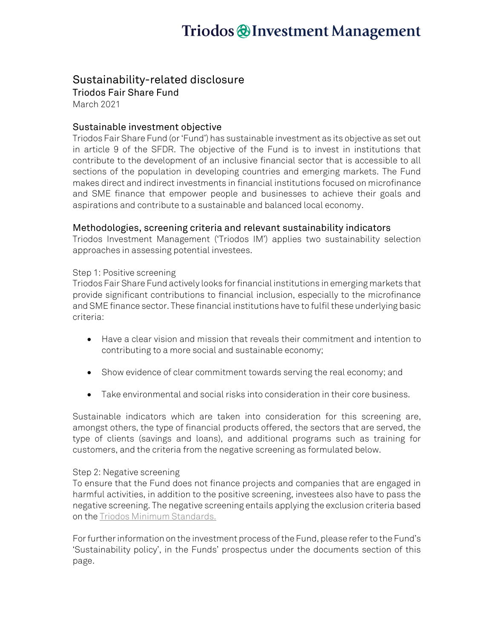# Triodos @Investment Management

### Sustainability-related disclosure

Triodos Fair Share Fund March 2021

### Sustainable investment objective

Triodos Fair Share Fund (or 'Fund') has sustainable investment as its objective as set out in article 9 of the SFDR. The objective of the Fund is to invest in institutions that contribute to the development of an inclusive financial sector that is accessible to all sections of the population in developing countries and emerging markets. The Fund makes direct and indirect investments in financial institutions focused on microfinance and SME finance that empower people and businesses to achieve their goals and aspirations and contribute to a sustainable and balanced local economy.

#### Methodologies, screening criteria and relevant sustainability indicators

Triodos Investment Management ('Triodos IM') applies two sustainability selection approaches in assessing potential investees.

#### Step 1: Positive screening

Triodos Fair Share Fund actively looks for financial institutions in emerging markets that provide significant contributions to financial inclusion, especially to the microfinance and SME finance sector. These financial institutions have to fulfil these underlying basic criteria:

- Have a clear vision and mission that reveals their commitment and intention to contributing to a more social and sustainable economy;
- Show evidence of clear commitment towards serving the real economy; and
- Take environmental and social risks into consideration in their core business.

Sustainable indicators which are taken into consideration for this screening are, amongst others, the type of financial products offered, the sectors that are served, the type of clients (savings and loans), and additional programs such as training for customers, and the criteria from the negative screening as formulated below.

#### Step 2: Negative screening

To ensure that the Fund does not finance projects and companies that are engaged in harmful activities, in addition to the positive screening, investees also have to pass the negative screening. The negative screening entails applying the exclusion criteria based on th[e Triodos Minimum Standards.](https://www.triodos-im.com/binaries/content/assets/tim/tim/minimum-standards-and-exclusions.pdf)

For further information on the investment process of the Fund, please refer to the Fund's 'Sustainability policy', in the Funds' prospectus under the documents section of this page.